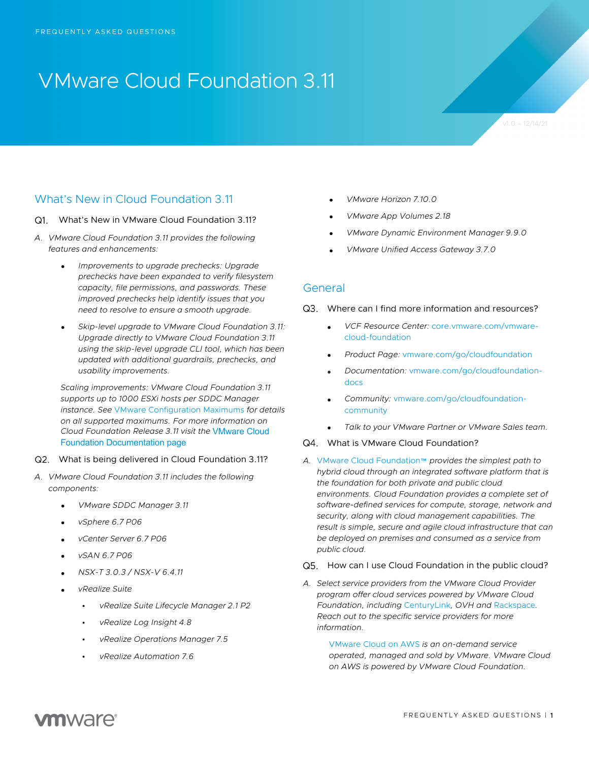# VMware Cloud Foundation 3.11

## What's New in Cloud Foundation 3.11

#### What's New in VMware Cloud Foundation 3.11?

- *A. VMware Cloud Foundation 3.11 provides the following features and enhancements:* 
	- *Improvements to upgrade prechecks: Upgrade prechecks have been expanded to verify filesystem capacity, file permissions, and passwords. These improved prechecks help identify issues that you need to resolve to ensure a smooth upgrade.*
	- *Skip-level upgrade to VMware Cloud Foundation 3.11: Upgrade directly to VMware Cloud Foundation 3.11 using the skip-level upgrade CLI tool, which has been updated with additional guardrails, prechecks, and usability improvements.*

*Scaling improvements: VMware Cloud Foundation 3.11 supports up to 1000 ESXi hosts per SDDC Manager instance. See* VMware Configuration Maximums *for details on all supported maximums. For more information on Cloud Foundation Release 3.11 visit the* VMware Cloud Foundation Documentation page

- What is being delivered in Cloud Foundation 3.11?
- *A. VMware Cloud Foundation 3.11 includes the following components:* 
	- *VMware SDDC Manager 3.11*
	- *vSphere 6.7 P06*
	- *vCenter Server 6.7 P06*
	- *vSAN 6.7 P06*
	- *NSX-T 3.0.3 / NSX-V 6.4.11*
	- *vRealize Suite*
		- *vRealize Suite Lifecycle Manager 2.1 P2*
		- *vRealize Log Insight 4.8*
		- *vRealize Operations Manager 7.5*
		- *vRealize Automation 7.6*
- *VMware Horizon 7.10.0*
- *VMware App Volumes 2.18*
- *VMware Dynamic Environment Manager 9.9.0*
- *VMware Unified Access Gateway 3.7.0*

## General

#### Q3. Where can I find more information and resources?

- *VCF Resource Center:* core.vmware.com/vmwarecloud-foundation
- *Product Page:* vmware.com/go/cloudfoundation
- *Documentation:* vmware.com/go/cloudfoundationdocs
- *Community:* vmware.com/go/cloudfoundationcommunity
- *Talk to your VMware Partner or VMware Sales team.*

#### Q4. What is VMware Cloud Foundation?

*A.* VMware Cloud Foundation™ *provides the simplest path to hybrid cloud through an integrated software platform that is the foundation for both private and public cloud environments. Cloud Foundation provides a complete set of software-defined services for compute, storage, network and security, along with cloud management capabilities. The result is simple, secure and agile cloud infrastructure that can be deployed on premises and consumed as a service from public cloud.*

#### Q5. How can I use Cloud Foundation in the public cloud?

*A. Select service providers from the VMware Cloud Provider program offer cloud services powered by VMware Cloud Foundation, including* CenturyLink*, OVH and* Rackspace*. Reach out to the specific service providers for more information.* 

> VMware Cloud on AWS *is an on-demand service operated, managed and sold by VMware. VMware Cloud on AWS is powered by VMware Cloud Foundation.*

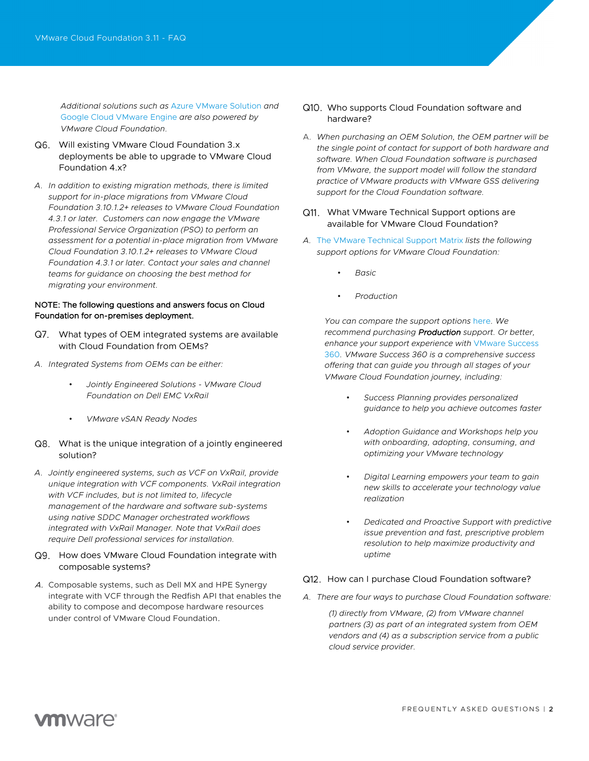*Additional solutions such as* Azure VMware Solution *and*  Google Cloud VMware Engine *are also powered by VMware Cloud Foundation.*

- Will existing VMware Cloud Foundation 3.x deployments be able to upgrade to VMware Cloud Foundation 4.x?
- *A. In addition to existing migration methods, there is limited support for in-place migrations from VMware Cloud Foundation 3.10.1.2+ releases to VMware Cloud Foundation 4.3.1 or later. Customers can now engage the VMware Professional Service Organization (PSO) to perform an assessment for a potential in-place migration from VMware Cloud Foundation 3.10.1.2+ releases to VMware Cloud Foundation 4.3.1 or later. Contact your sales and channel teams for guidance on choosing the best method for migrating your environment.*

#### NOTE: The following questions and answers focus on Cloud Foundation for on-premises deployment.

- What types of OEM integrated systems are available with Cloud Foundation from OEMs?
- *A. Integrated Systems from OEMs can be either:*
	- *Jointly Engineered Solutions - VMware Cloud Foundation on Dell EMC VxRail*
	- *VMware vSAN Ready Nodes*

## Q8. What is the unique integration of a jointly engineered solution?

*A. Jointly engineered systems, such as VCF on VxRail, provide unique integration with VCF components. VxRail integration with VCF includes, but is not limited to, lifecycle management of the hardware and software sub-systems using native SDDC Manager orchestrated workflows integrated with VxRail Manager. Note that VxRail does require Dell professional services for installation.* 

## Q9. How does VMware Cloud Foundation integrate with composable systems?

A. Composable systems, such as Dell MX and HPE Synergy integrate with VCF through the Redfish API that enables the ability to compose and decompose hardware resources under control of VMware Cloud Foundation.

- Q10. Who supports Cloud Foundation software and hardware?
- A. *When purchasing an OEM Solution, the OEM partner will be the single point of contact for support of both hardware and software. When Cloud Foundation software is purchased from VMware, the support model will follow the standard practice of VMware products with VMware GSS delivering support for the Cloud Foundation software.*

## Q11. What VMware Technical Support options are available for VMware Cloud Foundation?

- *A.* The VMware Technical Support Matrix *lists the following support options for VMware Cloud Foundation:*
	- *Basic*
	- *Production*

*You can compare the support options* here*. We recommend purchasing Production support. Or better, enhance your support experience with* VMware Success 360*. VMware Success 360 is a comprehensive success offering that can guide you through all stages of your VMware Cloud Foundation journey, including:*

- *Success Planning provides personalized guidance to help you achieve outcomes faster*
- *Adoption Guidance and Workshops help you with onboarding, adopting, consuming, and optimizing your VMware technology*
- *Digital Learning empowers your team to gain new skills to accelerate your technology value realization*
- *Dedicated and Proactive Support with predictive issue prevention and fast, prescriptive problem resolution to help maximize productivity and uptime*

#### Q12. How can I purchase Cloud Foundation software?

*A. There are four ways to purchase Cloud Foundation software:*

*(1) directly from VMware, (2) from VMware channel partners (3) as part of an integrated system from OEM vendors and (4) as a subscription service from a public cloud service provider.* 

## **vm**ware<sup>®</sup>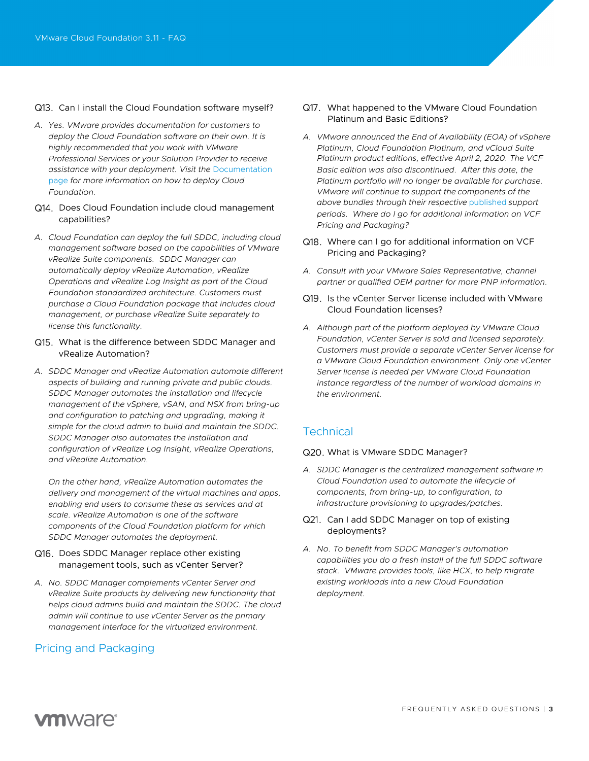#### Q13. Can I install the Cloud Foundation software myself?

- *A. Yes. VMware provides documentation for customers to deploy the Cloud Foundation software on their own. It is highly recommended that you work with VMware Professional Services or your Solution Provider to receive assistance with your deployment. Visit the* Documentation page *for more information on how to deploy Cloud Foundation.*
- Q14. Does Cloud Foundation include cloud management capabilities?
- *A. Cloud Foundation can deploy the full SDDC, including cloud management software based on the capabilities of VMware vRealize Suite components. SDDC Manager can automatically deploy vRealize Automation, vRealize Operations and vRealize Log Insight as part of the Cloud Foundation standardized architecture. Customers must purchase a Cloud Foundation package that includes cloud management, or purchase vRealize Suite separately to license this functionality.*
- Q15. What is the difference between SDDC Manager and vRealize Automation?
- *A. SDDC Manager and vRealize Automation automate different aspects of building and running private and public clouds. SDDC Manager automates the installation and lifecycle management of the vSphere, vSAN, and NSX from bring-up and configuration to patching and upgrading, making it simple for the cloud admin to build and maintain the SDDC. SDDC Manager also automates the installation and configuration of vRealize Log Insight, vRealize Operations, and vRealize Automation.*

*On the other hand, vRealize Automation automates the delivery and management of the virtual machines and apps, enabling end users to consume these as services and at scale. vRealize Automation is one of the software components of the Cloud Foundation platform for which SDDC Manager automates the deployment.*

## Q16. Does SDDC Manager replace other existing management tools, such as vCenter Server?

*A. No. SDDC Manager complements vCenter Server and vRealize Suite products by delivering new functionality that helps cloud admins build and maintain the SDDC. The cloud admin will continue to use vCenter Server as the primary management interface for the virtualized environment.*

## Pricing and Packaging

- Q17. What happened to the VMware Cloud Foundation Platinum and Basic Editions?
- *A. VMware announced the End of Availability (EOA) of vSphere Platinum, Cloud Foundation Platinum, and vCloud Suite Platinum product editions, effective April 2, 2020. The VCF Basic edition was also discontinued. After this date, the Platinum portfolio will no longer be available for purchase. VMware will continue to support the components of the above bundles through their respective* published *support periods. Where do I go for additional information on VCF Pricing and Packaging?*
- Q18. Where can I go for additional information on VCF Pricing and Packaging?
- *A. Consult with your VMware Sales Representative, channel partner or qualified OEM partner for more PNP information.*
- Q19. Is the vCenter Server license included with VMware Cloud Foundation licenses?
- *A. Although part of the platform deployed by VMware Cloud Foundation, vCenter Server is sold and licensed separately. Customers must provide a separate vCenter Server license for a VMware Cloud Foundation environment. Only one vCenter Server license is needed per VMware Cloud Foundation instance regardless of the number of workload domains in the environment.*

## **Technical**

#### Q20. What is VMware SDDC Manager?

*A. SDDC Manager is the centralized management software in Cloud Foundation used to automate the lifecycle of components, from bring-up, to configuration, to infrastructure provisioning to upgrades/patches.*

## Q21. Can I add SDDC Manager on top of existing deployments?

*A. No. To benefit from SDDC Manager's automation capabilities you do a fresh install of the full SDDC software stack. VMware provides tools, like HCX, to help migrate existing workloads into a new Cloud Foundation deployment.* 

## **vm**ware<sup>®</sup>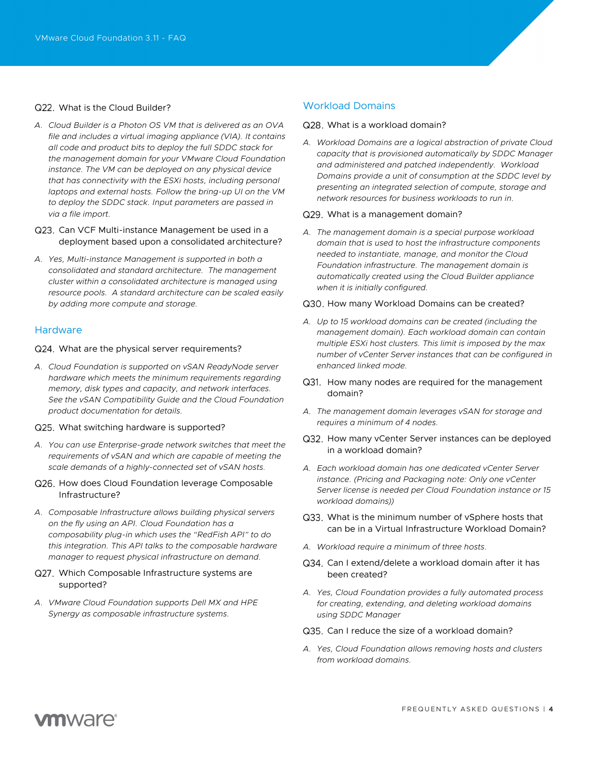#### Q22. What is the Cloud Builder?

- *A. Cloud Builder is a Photon OS VM that is delivered as an OVA file and includes a virtual imaging appliance (VIA). It contains all code and product bits to deploy the full SDDC stack for the management domain for your VMware Cloud Foundation instance. The VM can be deployed on any physical device that has connectivity with the ESXi hosts, including personal laptops and external hosts. Follow the bring-up UI on the VM to deploy the SDDC stack. Input parameters are passed in via a file import.*
- Q23. Can VCF Multi-instance Management be used in a deployment based upon a consolidated architecture?
- *A. Yes, Multi-instance Management is supported in both a consolidated and standard architecture. The management cluster within a consolidated architecture is managed using resource pools. A standard architecture can be scaled easily by adding more compute and storage.*

#### Hardware

#### Q24. What are the physical server requirements?

*A. Cloud Foundation is supported on vSAN ReadyNode server hardware which meets the minimum requirements regarding memory, disk types and capacity, and network interfaces. See the vSAN Compatibility Guide and the Cloud Foundation product documentation for details.*

#### Q25. What switching hardware is supported?

- *A. You can use Enterprise-grade network switches that meet the requirements of vSAN and which are capable of meeting the scale demands of a highly-connected set of vSAN hosts.*
- Q26. How does Cloud Foundation leverage Composable Infrastructure?
- *A. Composable Infrastructure allows building physical servers on the fly using an API. Cloud Foundation has a composability plug-in which uses the "RedFish API" to do this integration. This API talks to the composable hardware manager to request physical infrastructure on demand.*

## Q27. Which Composable Infrastructure systems are supported?

*A. VMware Cloud Foundation supports Dell MX and HPE Synergy as composable infrastructure systems.*

## Workload Domains

#### Q28. What is a workload domain?

*A. Workload Domains are a logical abstraction of private Cloud capacity that is provisioned automatically by SDDC Manager and administered and patched independently. Workload Domains provide a unit of consumption at the SDDC level by presenting an integrated selection of compute, storage and network resources for business workloads to run in.*

#### Q29. What is a management domain?

*A. The management domain is a special purpose workload domain that is used to host the infrastructure components needed to instantiate, manage, and monitor the Cloud Foundation infrastructure. The management domain is automatically created using the Cloud Builder appliance when it is initially configured.*

#### Q30. How many Workload Domains can be created?

- *A. Up to 15 workload domains can be created (including the management domain). Each workload domain can contain multiple ESXi host clusters. This limit is imposed by the max number of vCenter Server instances that can be configured in enhanced linked mode.*
- Q31. How many nodes are required for the management domain?
- *A. The management domain leverages vSAN for storage and requires a minimum of 4 nodes.*

#### Q32. How many vCenter Server instances can be deployed in a workload domain?

- *A. Each workload domain has one dedicated vCenter Server instance. (Pricing and Packaging note: Only one vCenter Server license is needed per Cloud Foundation instance or 15 workload domains))*
- Q33. What is the minimum number of vSphere hosts that can be in a Virtual Infrastructure Workload Domain?
- *A. Workload require a minimum of three hosts.*
- Q34. Can I extend/delete a workload domain after it has been created?
- *A. Yes, Cloud Foundation provides a fully automated process for creating, extending, and deleting workload domains using SDDC Manager*

#### Q35. Can I reduce the size of a workload domain?

*A. Yes, Cloud Foundation allows removing hosts and clusters from workload domains.*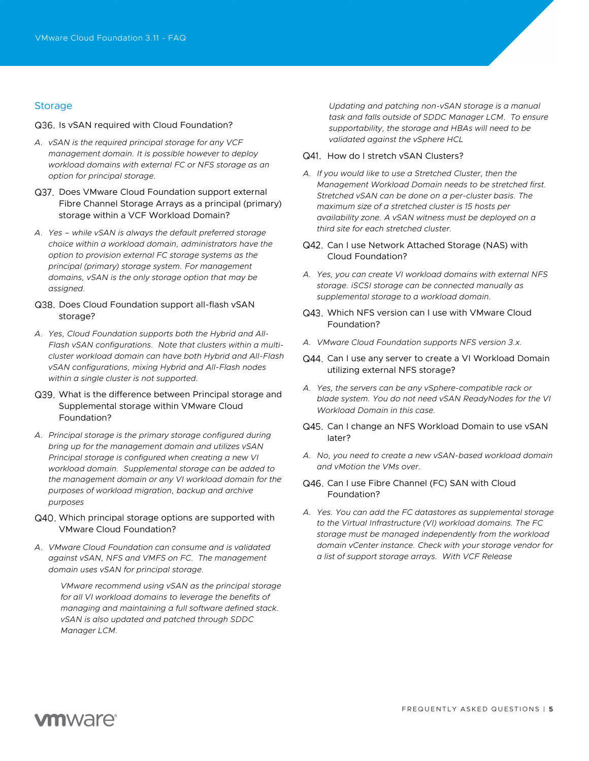## **Storage**

#### Q36. Is vSAN required with Cloud Foundation?

- *A. vSAN is the required principal storage for any VCF management domain. It is possible however to deploy workload domains with external FC or NFS storage as an option for principal storage.*
- Q37. Does VMware Cloud Foundation support external Fibre Channel Storage Arrays as a principal (primary) storage within a VCF Workload Domain?
- *A. Yes – while vSAN is always the default preferred storage choice within a workload domain, administrators have the option to provision external FC storage systems as the principal (primary) storage system. For management domains, vSAN is the only storage option that may be assigned.*
- Q38. Does Cloud Foundation support all-flash vSAN storage?
- *A. Yes, Cloud Foundation supports both the Hybrid and All-Flash vSAN configurations. Note that clusters within a multicluster workload domain can have both Hybrid and All-Flash vSAN configurations, mixing Hybrid and All-Flash nodes within a single cluster is not supported.*
- Q39. What is the difference between Principal storage and Supplemental storage within VMware Cloud Foundation?
- *A. Principal storage is the primary storage configured during bring up for the management domain and utilizes vSAN Principal storage is configured when creating a new VI workload domain. Supplemental storage can be added to the management domain or any VI workload domain for the purposes of workload migration, backup and archive purposes*
- Q40. Which principal storage options are supported with VMware Cloud Foundation?
- *A. VMware Cloud Foundation can consume and is validated against vSAN, NFS and VMFS on FC. The management domain uses vSAN for principal storage.*

*VMware recommend using vSAN as the principal storage for all VI workload domains to leverage the benefits of managing and maintaining a full software defined stack. vSAN is also updated and patched through SDDC Manager LCM.* 

*Updating and patching non-vSAN storage is a manual task and falls outside of SDDC Manager LCM. To ensure supportability, the storage and HBAs will need to be validated against the vSphere HCL* 

- Q41. How do I stretch vSAN Clusters?
- *A. If you would like to use a Stretched Cluster, then the Management Workload Domain needs to be stretched first. Stretched vSAN can be done on a per-cluster basis. The maximum size of a stretched cluster is 15 hosts per availability zone. A vSAN witness must be deployed on a third site for each stretched cluster.*
- Q42. Can I use Network Attached Storage (NAS) with Cloud Foundation?
- *A. Yes, you can create VI workload domains with external NFS storage. iSCSI storage can be connected manually as supplemental storage to a workload domain.*
- Q43. Which NFS version can I use with VMware Cloud Foundation?
- *A. VMware Cloud Foundation supports NFS version 3.x.*
- Q44. Can I use any server to create a VI Workload Domain utilizing external NFS storage?
- *A. Yes, the servers can be any vSphere-compatible rack or blade system. You do not need vSAN ReadyNodes for the VI Workload Domain in this case.*
- Q45. Can I change an NFS Workload Domain to use vSAN later?
- *A. No, you need to create a new vSAN-based workload domain and vMotion the VMs over.*

## Q46. Can I use Fibre Channel (FC) SAN with Cloud Foundation?

*A. Yes. You can add the FC datastores as supplemental storage to the Virtual Infrastructure (VI) workload domains. The FC storage must be managed independently from the workload domain vCenter instance. Check with your storage vendor for a list of support storage arrays. With VCF Release*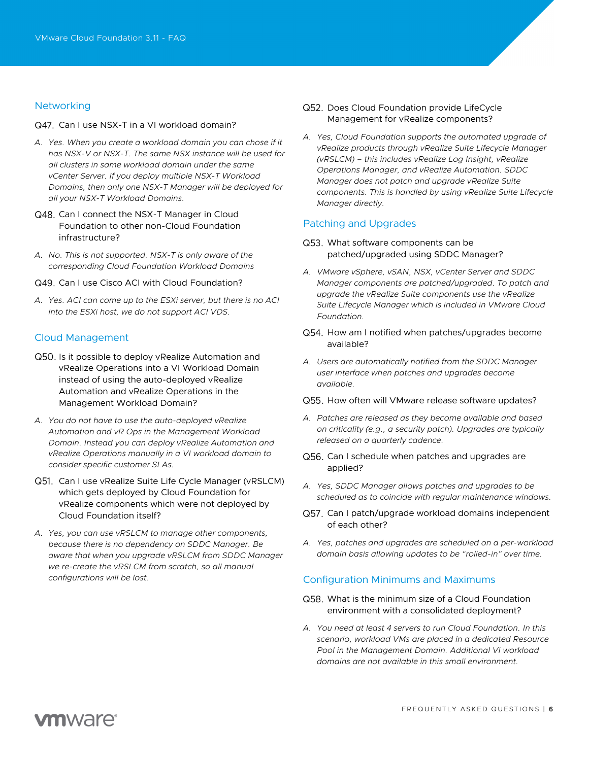## **Networking**

#### Q47. Can I use NSX-T in a VI workload domain?

- *A. Yes. When you create a workload domain you can chose if it has NSX-V or NSX-T. The same NSX instance will be used for all clusters in same workload domain under the same vCenter Server. If you deploy multiple NSX-T Workload Domains, then only one NSX-T Manager will be deployed for all your NSX-T Workload Domains.*
- Q48. Can I connect the NSX-T Manager in Cloud Foundation to other non-Cloud Foundation infrastructure?
- *A. No. This is not supported. NSX-T is only aware of the corresponding Cloud Foundation Workload Domains*
- Q49. Can I use Cisco ACI with Cloud Foundation?
- *A. Yes. ACI can come up to the ESXi server, but there is no ACI into the ESXi host, we do not support ACI VDS.*

## Cloud Management

- Q50. Is it possible to deploy vRealize Automation and vRealize Operations into a VI Workload Domain instead of using the auto-deployed vRealize Automation and vRealize Operations in the Management Workload Domain?
- *A. You do not have to use the auto-deployed vRealize Automation and vR Ops in the Management Workload Domain. Instead you can deploy vRealize Automation and vRealize Operations manually in a VI workload domain to consider specific customer SLAs.*
- Q51. Can I use vRealize Suite Life Cycle Manager (vRSLCM) which gets deployed by Cloud Foundation for vRealize components which were not deployed by Cloud Foundation itself?
- *A. Yes, you can use vRSLCM to manage other components, because there is no dependency on SDDC Manager. Be aware that when you upgrade vRSLCM from SDDC Manager we re-create the vRSLCM from scratch, so all manual configurations will be lost.*
- Q52. Does Cloud Foundation provide LifeCycle Management for vRealize components?
- *A. Yes, Cloud Foundation supports the automated upgrade of vRealize products through vRealize Suite Lifecycle Manager (vRSLCM) – this includes vRealize Log Insight, vRealize Operations Manager, and vRealize Automation. SDDC Manager does not patch and upgrade vRealize Suite components. This is handled by using vRealize Suite Lifecycle Manager directly.*

## Patching and Upgrades

- Q53. What software components can be patched/upgraded using SDDC Manager?
- *A. VMware vSphere, vSAN, NSX, vCenter Server and SDDC Manager components are patched/upgraded. To patch and upgrade the vRealize Suite components use the vRealize Suite Lifecycle Manager which is included in VMware Cloud Foundation.*
- Q54. How am I notified when patches/upgrades become available?
- *A. Users are automatically notified from the SDDC Manager user interface when patches and upgrades become available.*
- Q55. How often will VMware release software updates?
- *A. Patches are released as they become available and based on criticality (e.g., a security patch). Upgrades are typically released on a quarterly cadence.*
- Q56. Can I schedule when patches and upgrades are applied?
- *A. Yes, SDDC Manager allows patches and upgrades to be scheduled as to coincide with regular maintenance windows.*
- Q57. Can I patch/upgrade workload domains independent of each other?
- *A. Yes, patches and upgrades are scheduled on a per-workload domain basis allowing updates to be "rolled-in" over time.*

## Configuration Minimums and Maximums

- Q58. What is the minimum size of a Cloud Foundation environment with a consolidated deployment?
- *A. You need at least 4 servers to run Cloud Foundation. In this scenario, workload VMs are placed in a dedicated Resource Pool in the Management Domain. Additional VI workload domains are not available in this small environment.*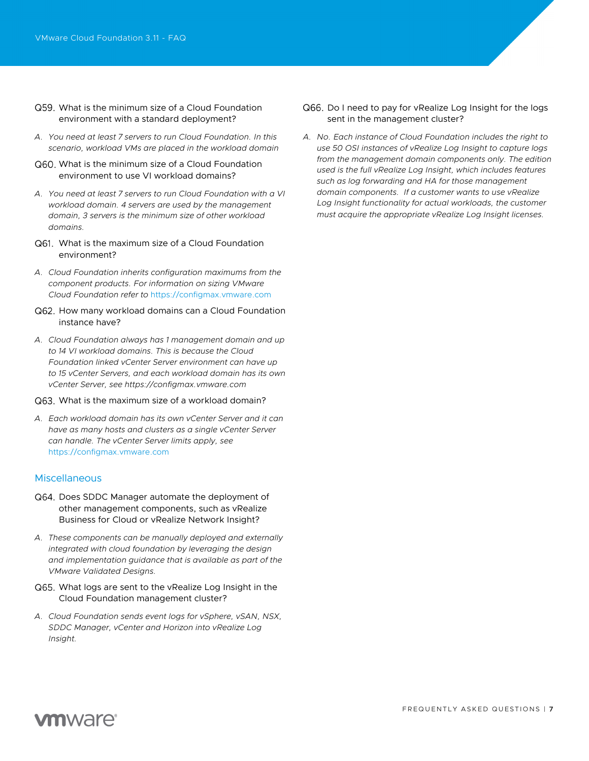- What is the minimum size of a Cloud Foundation environment with a standard deployment?
- *A. You need at least 7 servers to run Cloud Foundation. In this scenario, workload VMs are placed in the workload domain*
- What is the minimum size of a Cloud Foundation environment to use VI workload domains?
- *A. You need at least 7 servers to run Cloud Foundation with a VI workload domain. 4 servers are used by the management domain, 3 servers is the minimum size of other workload domains.*
- What is the maximum size of a Cloud Foundation environment?
- *A. Cloud Foundation inherits configuration maximums from the component products. For information on sizing VMware Cloud Foundation refer to* https://configmax.vmware.com
- Q62. How many workload domains can a Cloud Foundation instance have?
- *A. Cloud Foundation always has 1 management domain and up to 14 VI workload domains. This is because the Cloud Foundation linked vCenter Server environment can have up to 15 vCenter Servers, and each workload domain has its own vCenter Server, see https://configmax.vmware.com*

#### Q63. What is the maximum size of a workload domain?

*A. Each workload domain has its own vCenter Server and it can have as many hosts and clusters as a single vCenter Server can handle. The vCenter Server limits apply, see*  https://configmax.vmware.com

#### **Miscellaneous**

- Q64. Does SDDC Manager automate the deployment of other management components, such as vRealize Business for Cloud or vRealize Network Insight?
- *A. These components can be manually deployed and externally integrated with cloud foundation by leveraging the design and implementation guidance that is available as part of the VMware Validated Designs.*
- What logs are sent to the vRealize Log Insight in the Cloud Foundation management cluster?
- *A. Cloud Foundation sends event logs for vSphere, vSAN, NSX, SDDC Manager, vCenter and Horizon into vRealize Log Insight.*
- Q66. Do I need to pay for vRealize Log Insight for the logs sent in the management cluster?
- *A. No. Each instance of Cloud Foundation includes the right to use 50 OSI instances of vRealize Log Insight to capture logs from the management domain components only. The edition used is the full vRealize Log Insight, which includes features such as log forwarding and HA for those management domain components. If a customer wants to use vRealize*  Log Insight functionality for actual workloads, the customer *must acquire the appropriate vRealize Log Insight licenses.*

## **vm**ware<sup>®</sup>